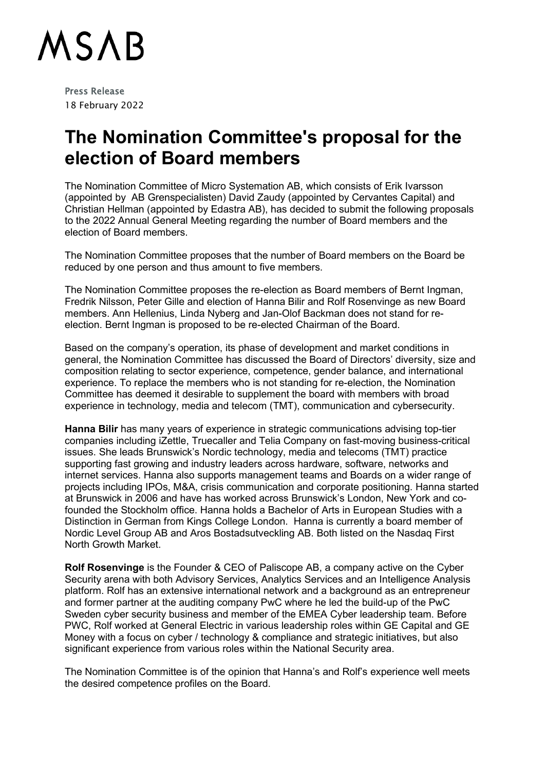

Press Release 18 February 2022

## **The Nomination Committee's proposal for the election of Board members**

The Nomination Committee of Micro Systemation AB, which consists of Erik Ivarsson (appointed by AB Grenspecialisten) David Zaudy (appointed by Cervantes Capital) and Christian Hellman (appointed by Edastra AB), has decided to submit the following proposals to the 2022 Annual General Meeting regarding the number of Board members and the election of Board members.

The Nomination Committee proposes that the number of Board members on the Board be reduced by one person and thus amount to five members.

The Nomination Committee proposes the re-election as Board members of Bernt Ingman, Fredrik Nilsson, Peter Gille and election of Hanna Bilir and Rolf Rosenvinge as new Board members. Ann Hellenius, Linda Nyberg and Jan-Olof Backman does not stand for reelection. Bernt Ingman is proposed to be re-elected Chairman of the Board.

Based on the company's operation, its phase of development and market conditions in general, the Nomination Committee has discussed the Board of Directors' diversity, size and composition relating to sector experience, competence, gender balance, and international experience. To replace the members who is not standing for re-election, the Nomination Committee has deemed it desirable to supplement the board with members with broad experience in technology, media and telecom (TMT), communication and cybersecurity.

**Hanna Bilir** has many years of experience in strategic communications advising top-tier companies including iZettle, Truecaller and Telia Company on fast-moving business-critical issues. She leads Brunswick's Nordic technology, media and telecoms (TMT) practice supporting fast growing and industry leaders across hardware, software, networks and internet services. Hanna also supports management teams and Boards on a wider range of projects including IPOs, M&A, crisis communication and corporate positioning. Hanna started at Brunswick in 2006 and have has worked across Brunswick's London, New York and cofounded the Stockholm office. Hanna holds a Bachelor of Arts in European Studies with a Distinction in German from Kings College London. Hanna is currently a board member of Nordic Level Group AB and Aros Bostadsutveckling AB. Both listed on the Nasdaq First North Growth Market.

**Rolf Rosenvinge** is the Founder & CEO of Paliscope AB, a company active on the Cyber Security arena with both Advisory Services, Analytics Services and an Intelligence Analysis platform. Rolf has an extensive international network and a background as an entrepreneur and former partner at the auditing company PwC where he led the build-up of the PwC Sweden cyber security business and member of the EMEA Cyber leadership team. Before PWC, Rolf worked at General Electric in various leadership roles within GE Capital and GE Money with a focus on cyber / technology & compliance and strategic initiatives, but also significant experience from various roles within the National Security area.

The Nomination Committee is of the opinion that Hanna's and Rolf's experience well meets the desired competence profiles on the Board.